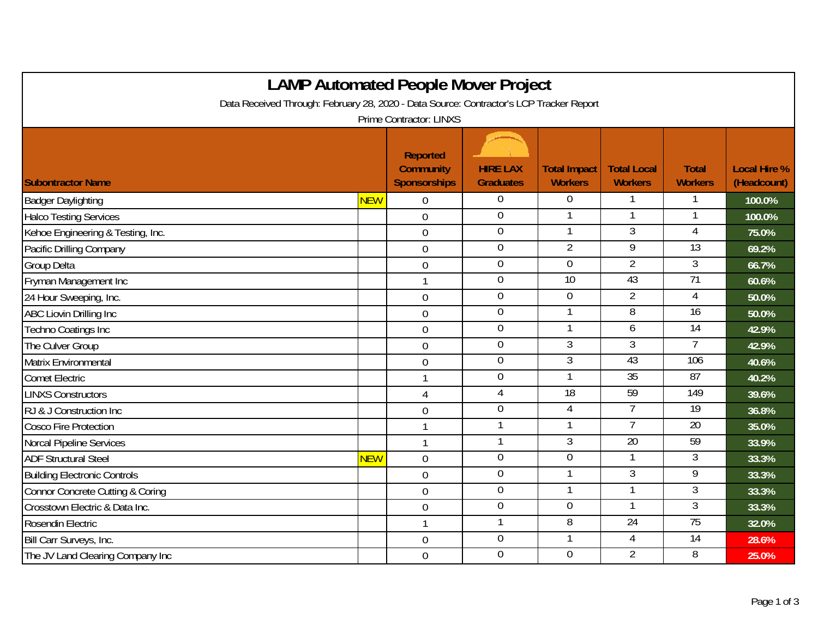| <b>LAMP Automated People Mover Project</b>                                              |            |                                                            |                                     |                                       |                                      |                                |                                    |  |  |
|-----------------------------------------------------------------------------------------|------------|------------------------------------------------------------|-------------------------------------|---------------------------------------|--------------------------------------|--------------------------------|------------------------------------|--|--|
| Data Received Through: February 28, 2020 - Data Source: Contractor's LCP Tracker Report |            |                                                            |                                     |                                       |                                      |                                |                                    |  |  |
| <b>Prime Contractor: LINXS</b>                                                          |            |                                                            |                                     |                                       |                                      |                                |                                    |  |  |
| <b>Subontractor Name</b>                                                                |            | <b>Reported</b><br><b>Community</b><br><b>Sponsorships</b> | <b>HIRE LAX</b><br><b>Graduates</b> | <b>Total Impact</b><br><b>Workers</b> | <b>Total Local</b><br><b>Workers</b> | <b>Total</b><br><b>Workers</b> | <b>Local Hire %</b><br>(Headcount) |  |  |
| <b>Badger Daylighting</b>                                                               | <b>NEW</b> | $\Omega$                                                   | $\Omega$                            | $\Omega$                              |                                      |                                | 100.0%                             |  |  |
| <b>Halco Testing Services</b>                                                           |            | $\overline{0}$                                             | $\mathbf 0$                         |                                       | 1                                    |                                | 100.0%                             |  |  |
| Kehoe Engineering & Testing, Inc.                                                       |            | $\mathbf 0$                                                | $\boldsymbol{0}$                    |                                       | 3                                    | 4                              | 75.0%                              |  |  |
| Pacific Drilling Company                                                                |            | $\overline{0}$                                             | $\overline{0}$                      | $\overline{2}$                        | $\overline{9}$                       | 13                             | 69.2%                              |  |  |
| Group Delta                                                                             |            | $\mathbf 0$                                                | $\mathbf 0$                         | $\overline{0}$                        | $\overline{2}$                       | $\overline{3}$                 | 66.7%                              |  |  |
| Fryman Management Inc                                                                   |            | $\mathbf{1}$                                               | $\mathbf 0$                         | 10                                    | 43                                   | 71                             | 60.6%                              |  |  |
| 24 Hour Sweeping, Inc.                                                                  |            | $\overline{0}$                                             | $\overline{0}$                      | $\overline{0}$                        | $\overline{2}$                       | 4                              | 50.0%                              |  |  |
| <b>ABC Liovin Drilling Inc</b>                                                          |            | $\mathbf 0$                                                | $\boldsymbol{0}$                    | 1                                     | 8                                    | 16                             | 50.0%                              |  |  |
| Techno Coatings Inc                                                                     |            | $\mathbf 0$                                                | $\overline{0}$                      |                                       | 6                                    | 14                             | 42.9%                              |  |  |
| The Culver Group                                                                        |            | $\overline{0}$                                             | $\boldsymbol{0}$                    | $\mathfrak{Z}$                        | 3                                    | 7                              | 42.9%                              |  |  |
| Matrix Environmental                                                                    |            | $\mathbf 0$                                                | $\overline{0}$                      | $\overline{3}$                        | 43                                   | 106                            | 40.6%                              |  |  |
| <b>Comet Electric</b>                                                                   |            | $\mathbf{1}$                                               | $\overline{0}$                      |                                       | 35                                   | 87                             | 40.2%                              |  |  |
| <b>LINXS Constructors</b>                                                               |            | $\overline{4}$                                             | $\overline{4}$                      | 18                                    | 59                                   | 149                            | 39.6%                              |  |  |
| RJ & J Construction Inc                                                                 |            | $\mathbf 0$                                                | $\mathbf 0$                         | $\overline{4}$                        | 7                                    | $\overline{19}$                | 36.8%                              |  |  |
| <b>Cosco Fire Protection</b>                                                            |            | $\mathbf{1}$                                               | 1                                   | $\mathbf{1}$                          | $\overline{7}$                       | $\overline{20}$                | 35.0%                              |  |  |
| <b>Norcal Pipeline Services</b>                                                         |            | $\mathbf{1}$                                               |                                     | 3                                     | 20                                   | 59                             | 33.9%                              |  |  |
| <b>ADF Structural Steel</b>                                                             | <b>NEW</b> | $\overline{0}$                                             | $\boldsymbol{0}$                    | $\mathbf 0$                           | 1                                    | 3                              | 33.3%                              |  |  |
| <b>Building Electronic Controls</b>                                                     |            | $\overline{0}$                                             | $\overline{0}$                      |                                       | $\overline{3}$                       | 9                              | 33.3%                              |  |  |
| Connor Concrete Cutting & Coring                                                        |            | $\mathbf 0$                                                | $\mathbf 0$                         | 1                                     | 1                                    | 3                              | 33.3%                              |  |  |
| Crosstown Electric & Data Inc.                                                          |            | $\boldsymbol{0}$                                           | $\overline{0}$                      | $\overline{0}$                        |                                      | $\overline{3}$                 | 33.3%                              |  |  |
| Rosendin Electric                                                                       |            | $\mathbf{1}$                                               | 1                                   | 8                                     | $\overline{24}$                      | 75                             | 32.0%                              |  |  |
| Bill Carr Surveys, Inc.                                                                 |            | $\mathbf 0$                                                | $\overline{0}$                      | 1                                     | $\overline{4}$                       | 14                             | 28.6%                              |  |  |
| The JV Land Clearing Company Inc                                                        |            | $\mathbf 0$                                                | $\mathbf 0$                         | $\overline{0}$                        | $\overline{2}$                       | 8                              | 25.0%                              |  |  |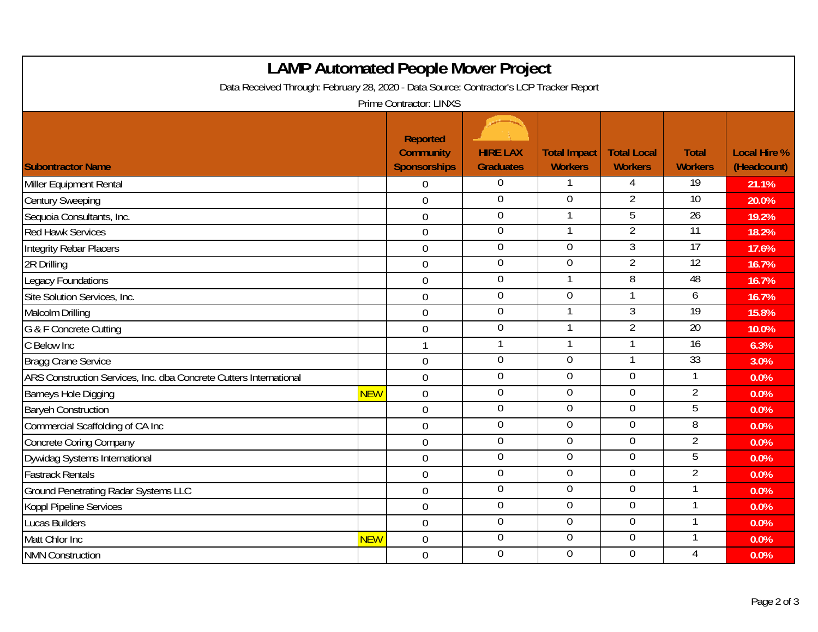| <b>LAMP Automated People Mover Project</b><br>Data Received Through: February 28, 2020 - Data Source: Contractor's LCP Tracker Report |            |                                            |                                     |                                       |                                      |                                |                                    |  |
|---------------------------------------------------------------------------------------------------------------------------------------|------------|--------------------------------------------|-------------------------------------|---------------------------------------|--------------------------------------|--------------------------------|------------------------------------|--|
| <b>Subontractor Name</b>                                                                                                              |            | Prime Contractor: LINXS<br><b>Reported</b> |                                     |                                       |                                      |                                |                                    |  |
|                                                                                                                                       |            | <b>Community</b><br><b>Sponsorships</b>    | <b>HIRE LAX</b><br><b>Graduates</b> | <b>Total Impact</b><br><b>Workers</b> | <b>Total Local</b><br><b>Workers</b> | <b>Total</b><br><b>Workers</b> | <b>Local Hire %</b><br>(Headcount) |  |
| Miller Equipment Rental                                                                                                               |            | $\overline{0}$                             | $\boldsymbol{0}$                    |                                       | 4                                    | 19                             | 21.1%                              |  |
| <b>Century Sweeping</b>                                                                                                               |            | $\overline{0}$                             | $\pmb{0}$                           | $\mathbf 0$                           | $\overline{2}$                       | $\overline{10}$                | 20.0%                              |  |
| Sequoia Consultants, Inc.                                                                                                             |            | $\overline{0}$                             | $\overline{0}$                      | 1                                     | 5                                    | 26                             | 19.2%                              |  |
| <b>Red Hawk Services</b>                                                                                                              |            | $\overline{0}$                             | $\overline{0}$                      |                                       | $\overline{2}$                       | $\overline{11}$                | 18.2%                              |  |
| <b>Integrity Rebar Placers</b>                                                                                                        |            | $\mathbf 0$                                | $\overline{0}$                      | $\overline{0}$                        | 3                                    | 17                             | 17.6%                              |  |
| 2R Drilling                                                                                                                           |            | $\mathbf 0$                                | $\overline{0}$                      | $\overline{0}$                        | $\overline{2}$                       | $\overline{12}$                | 16.7%                              |  |
| <b>Legacy Foundations</b>                                                                                                             |            | $\overline{0}$                             | $\overline{0}$                      |                                       | 8                                    | 48                             | 16.7%                              |  |
| Site Solution Services, Inc.                                                                                                          |            | $\mathbf 0$                                | $\overline{0}$                      | $\overline{0}$                        |                                      | 6                              | 16.7%                              |  |
| Malcolm Drilling                                                                                                                      |            | $\mathbf 0$                                | $\mathbf 0$                         |                                       | 3                                    | 19                             | 15.8%                              |  |
| G & F Concrete Cutting                                                                                                                |            | $\boldsymbol{0}$                           | $\pmb{0}$                           |                                       | $\overline{2}$                       | 20                             | 10.0%                              |  |
| C Below Inc                                                                                                                           |            | 1                                          | $\mathbf{1}$                        |                                       |                                      | $\overline{16}$                | 6.3%                               |  |
| <b>Bragg Crane Service</b>                                                                                                            |            | $\overline{0}$                             | $\mathbf 0$                         | $\overline{0}$                        | $\mathbf{1}$                         | 33                             | 3.0%                               |  |
| ARS Construction Services, Inc. dba Concrete Cutters International                                                                    |            | $\overline{0}$                             | $\mathbf 0$                         | $\mathbf 0$                           | $\mathbf 0$                          | 1                              | 0.0%                               |  |
| <b>Barneys Hole Digging</b>                                                                                                           | <b>NEW</b> | $\overline{0}$                             | $\overline{0}$                      | $\overline{0}$                        | $\mathbf 0$                          | $\overline{2}$                 | 0.0%                               |  |
| <b>Baryeh Construction</b>                                                                                                            |            | $\overline{0}$                             | $\mathbf 0$                         | $\overline{0}$                        | $\overline{0}$                       | 5                              | 0.0%                               |  |
| Commercial Scaffolding of CA Inc                                                                                                      |            | $\overline{0}$                             | $\boldsymbol{0}$                    | $\mathbf 0$                           | $\overline{0}$                       | 8                              | 0.0%                               |  |
| <b>Concrete Coring Company</b>                                                                                                        |            | $\overline{0}$                             | $\pmb{0}$                           | $\mathbf 0$                           | $\mathbf 0$                          | $\overline{2}$                 | 0.0%                               |  |
| Dywidag Systems International                                                                                                         |            | $\mathbf 0$                                | $\overline{0}$                      | $\overline{0}$                        | $\overline{0}$                       | 5                              | 0.0%                               |  |
| <b>Fastrack Rentals</b>                                                                                                               |            | $\overline{0}$                             | $\overline{0}$                      | $\overline{0}$                        | $\overline{0}$                       | $\overline{2}$                 | 0.0%                               |  |
| <b>Ground Penetrating Radar Systems LLC</b>                                                                                           |            | $\mathbf 0$                                | $\overline{0}$                      | $\overline{0}$                        | $\overline{0}$                       | 1                              | 0.0%                               |  |
| <b>Koppl Pipeline Services</b>                                                                                                        |            | $\mathbf 0$                                | $\boldsymbol{0}$                    | $\boldsymbol{0}$                      | $\overline{0}$                       | 1                              | 0.0%                               |  |
| <b>Lucas Builders</b>                                                                                                                 |            | $\mathbf 0$                                | $\overline{0}$                      | $\overline{0}$                        | $\overline{0}$                       | 1                              | 0.0%                               |  |
| Matt Chlor Inc                                                                                                                        | <b>NEW</b> | $\overline{0}$                             | $\overline{0}$                      | $\overline{0}$                        | $\overline{0}$                       | 1                              | 0.0%                               |  |
| <b>NMN Construction</b>                                                                                                               |            | $\overline{0}$                             | $\mathbf 0$                         | $\overline{0}$                        | $\overline{0}$                       | $\overline{4}$                 | 0.0%                               |  |